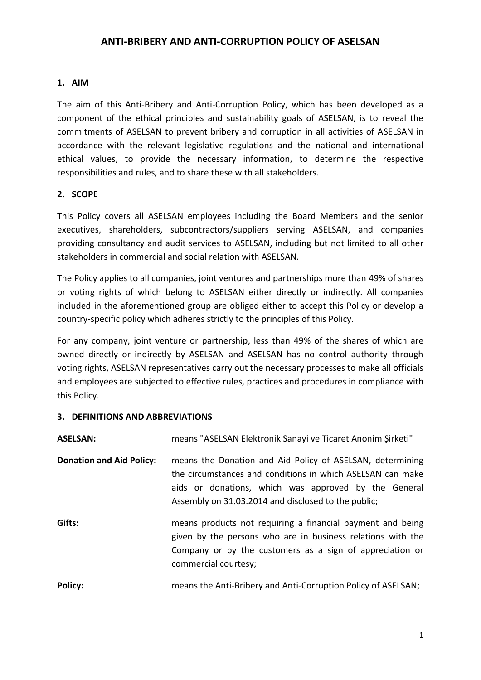#### **1. AIM**

The aim of this Anti-Bribery and Anti-Corruption Policy, which has been developed as a component of the ethical principles and sustainability goals of ASELSAN, is to reveal the commitments of ASELSAN to prevent bribery and corruption in all activities of ASELSAN in accordance with the relevant legislative regulations and the national and international ethical values, to provide the necessary information, to determine the respective responsibilities and rules, and to share these with all stakeholders.

#### **2. SCOPE**

This Policy covers all ASELSAN employees including the Board Members and the senior executives, shareholders, subcontractors/suppliers serving ASELSAN, and companies providing consultancy and audit services to ASELSAN, including but not limited to all other stakeholders in commercial and social relation with ASELSAN.

The Policy applies to all companies, joint ventures and partnerships more than 49% of shares or voting rights of which belong to ASELSAN either directly or indirectly. All companies included in the aforementioned group are obliged either to accept this Policy or develop a country-specific policy which adheres strictly to the principles of this Policy.

For any company, joint venture or partnership, less than 49% of the shares of which are owned directly or indirectly by ASELSAN and ASELSAN has no control authority through voting rights, ASELSAN representatives carry out the necessary processes to make all officials and employees are subjected to effective rules, practices and procedures in compliance with this Policy.

#### **3. DEFINITIONS AND ABBREVIATIONS**

| <b>ASELSAN:</b>                 | means "ASELSAN Elektronik Sanayi ve Ticaret Anonim Şirketi"                                                                                                                                                                            |
|---------------------------------|----------------------------------------------------------------------------------------------------------------------------------------------------------------------------------------------------------------------------------------|
| <b>Donation and Aid Policy:</b> | means the Donation and Aid Policy of ASELSAN, determining<br>the circumstances and conditions in which ASELSAN can make<br>aids or donations, which was approved by the General<br>Assembly on 31.03.2014 and disclosed to the public; |
| Gifts:                          | means products not requiring a financial payment and being<br>given by the persons who are in business relations with the<br>Company or by the customers as a sign of appreciation or<br>commercial courtesy;                          |
| Policy:                         | means the Anti-Bribery and Anti-Corruption Policy of ASELSAN;                                                                                                                                                                          |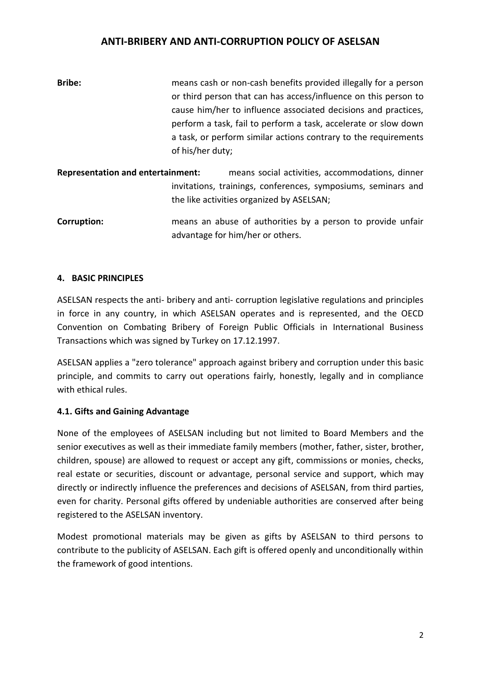| <b>Bribe:</b> | means cash or non-cash benefits provided illegally for a person |
|---------------|-----------------------------------------------------------------|
|               | or third person that can has access/influence on this person to |
|               | cause him/her to influence associated decisions and practices,  |
|               | perform a task, fail to perform a task, accelerate or slow down |
|               | a task, or perform similar actions contrary to the requirements |
|               | of his/her duty;                                                |

**Representation and entertainment:** means social activities, accommodations, dinner invitations, trainings, conferences, symposiums, seminars and the like activities organized by ASELSAN;

**Corruption: means an abuse of authorities by a person to provide unfair** advantage for him/her or others.

#### **4. BASIC PRINCIPLES**

ASELSAN respects the anti- bribery and anti- corruption legislative regulations and principles in force in any country, in which ASELSAN operates and is represented, and the OECD Convention on Combating Bribery of Foreign Public Officials in International Business Transactions which was signed by Turkey on 17.12.1997.

ASELSAN applies a "zero tolerance" approach against bribery and corruption under this basic principle, and commits to carry out operations fairly, honestly, legally and in compliance with ethical rules.

## **4.1. Gifts and Gaining Advantage**

None of the employees of ASELSAN including but not limited to Board Members and the senior executives as well as their immediate family members (mother, father, sister, brother, children, spouse) are allowed to request or accept any gift, commissions or monies, checks, real estate or securities, discount or advantage, personal service and support, which may directly or indirectly influence the preferences and decisions of ASELSAN, from third parties, even for charity. Personal gifts offered by undeniable authorities are conserved after being registered to the ASELSAN inventory.

Modest promotional materials may be given as gifts by ASELSAN to third persons to contribute to the publicity of ASELSAN. Each gift is offered openly and unconditionally within the framework of good intentions.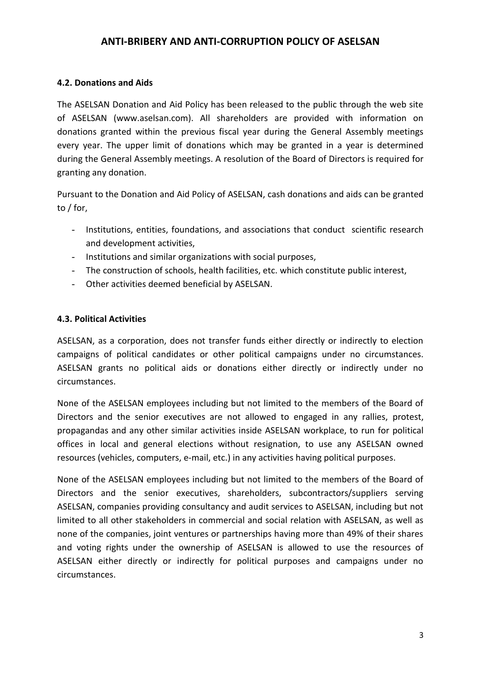#### **4.2. Donations and Aids**

The ASELSAN Donation and Aid Policy has been released to the public through the web site of ASELSAN (www.aselsan.com). All shareholders are provided with information on donations granted within the previous fiscal year during the General Assembly meetings every year. The upper limit of donations which may be granted in a year is determined during the General Assembly meetings. A resolution of the Board of Directors is required for granting any donation.

Pursuant to the Donation and Aid Policy of ASELSAN, cash donations and aids can be granted to / for,

- Institutions, entities, foundations, and associations that conduct scientific research and development activities,
- Institutions and similar organizations with social purposes,
- The construction of schools, health facilities, etc. which constitute public interest,
- Other activities deemed beneficial by ASELSAN.

## **4.3. Political Activities**

ASELSAN, as a corporation, does not transfer funds either directly or indirectly to election campaigns of political candidates or other political campaigns under no circumstances. ASELSAN grants no political aids or donations either directly or indirectly under no circumstances.

None of the ASELSAN employees including but not limited to the members of the Board of Directors and the senior executives are not allowed to engaged in any rallies, protest, propagandas and any other similar activities inside ASELSAN workplace, to run for political offices in local and general elections without resignation, to use any ASELSAN owned resources (vehicles, computers, e-mail, etc.) in any activities having political purposes.

None of the ASELSAN employees including but not limited to the members of the Board of Directors and the senior executives, shareholders, subcontractors/suppliers serving ASELSAN, companies providing consultancy and audit services to ASELSAN, including but not limited to all other stakeholders in commercial and social relation with ASELSAN, as well as none of the companies, joint ventures or partnerships having more than 49% of their shares and voting rights under the ownership of ASELSAN is allowed to use the resources of ASELSAN either directly or indirectly for political purposes and campaigns under no circumstances.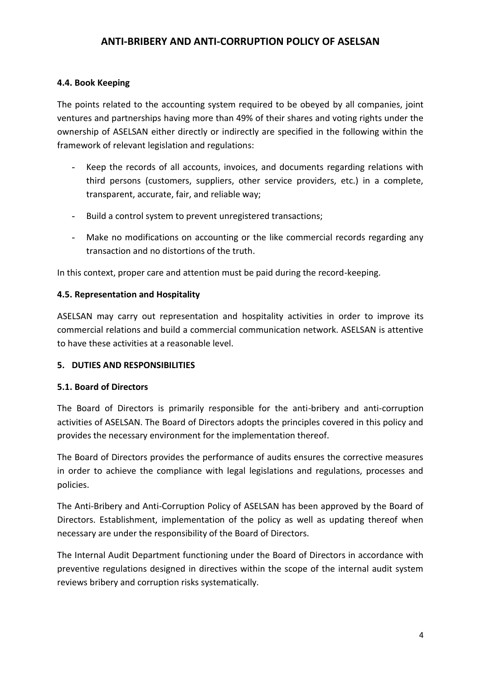## **4.4. Book Keeping**

The points related to the accounting system required to be obeyed by all companies, joint ventures and partnerships having more than 49% of their shares and voting rights under the ownership of ASELSAN either directly or indirectly are specified in the following within the framework of relevant legislation and regulations:

- Keep the records of all accounts, invoices, and documents regarding relations with third persons (customers, suppliers, other service providers, etc.) in a complete, transparent, accurate, fair, and reliable way;
- Build a control system to prevent unregistered transactions;
- Make no modifications on accounting or the like commercial records regarding any transaction and no distortions of the truth.

In this context, proper care and attention must be paid during the record-keeping.

#### **4.5. Representation and Hospitality**

ASELSAN may carry out representation and hospitality activities in order to improve its commercial relations and build a commercial communication network. ASELSAN is attentive to have these activities at a reasonable level.

## **5. DUTIES AND RESPONSIBILITIES**

## **5.1. Board of Directors**

The Board of Directors is primarily responsible for the anti-bribery and anti-corruption activities of ASELSAN. The Board of Directors adopts the principles covered in this policy and provides the necessary environment for the implementation thereof.

The Board of Directors provides the performance of audits ensures the corrective measures in order to achieve the compliance with legal legislations and regulations, processes and policies.

The Anti-Bribery and Anti-Corruption Policy of ASELSAN has been approved by the Board of Directors. Establishment, implementation of the policy as well as updating thereof when necessary are under the responsibility of the Board of Directors.

The Internal Audit Department functioning under the Board of Directors in accordance with preventive regulations designed in directives within the scope of the internal audit system reviews bribery and corruption risks systematically.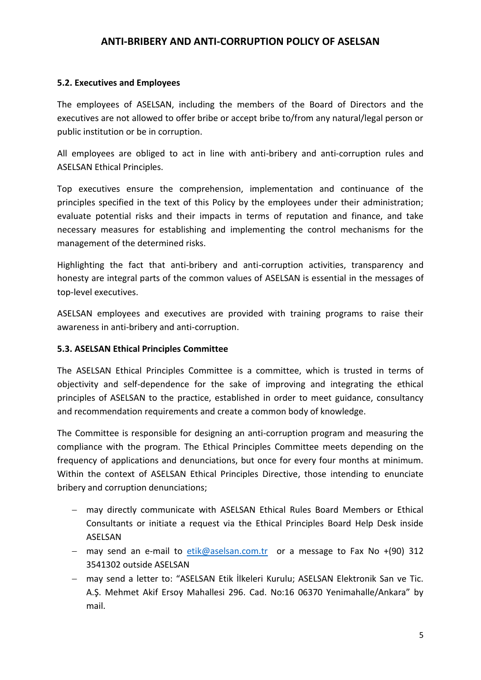#### **5.2. Executives and Employees**

The employees of ASELSAN, including the members of the Board of Directors and the executives are not allowed to offer bribe or accept bribe to/from any natural/legal person or public institution or be in corruption.

All employees are obliged to act in line with anti-bribery and anti-corruption rules and ASELSAN Ethical Principles.

Top executives ensure the comprehension, implementation and continuance of the principles specified in the text of this Policy by the employees under their administration; evaluate potential risks and their impacts in terms of reputation and finance, and take necessary measures for establishing and implementing the control mechanisms for the management of the determined risks.

Highlighting the fact that anti-bribery and anti-corruption activities, transparency and honesty are integral parts of the common values of ASELSAN is essential in the messages of top-level executives.

ASELSAN employees and executives are provided with training programs to raise their awareness in anti-bribery and anti-corruption.

#### **5.3. ASELSAN Ethical Principles Committee**

The ASELSAN Ethical Principles Committee is a committee, which is trusted in terms of objectivity and self-dependence for the sake of improving and integrating the ethical principles of ASELSAN to the practice, established in order to meet guidance, consultancy and recommendation requirements and create a common body of knowledge.

The Committee is responsible for designing an anti-corruption program and measuring the compliance with the program. The Ethical Principles Committee meets depending on the frequency of applications and denunciations, but once for every four months at minimum. Within the context of ASELSAN Ethical Principles Directive, those intending to enunciate bribery and corruption denunciations;

- may directly communicate with ASELSAN Ethical Rules Board Members or Ethical Consultants or initiate a request via the Ethical Principles Board Help Desk inside ASELSAN
- may send an e-mail to  $etik@aselsan.com.tr$  or a message to Fax No +(90) 312 3541302 outside ASELSAN
- may send a letter to: "ASELSAN Etik İlkeleri Kurulu; ASELSAN Elektronik San ve Tic. A.Ş. Mehmet Akif Ersoy Mahallesi 296. Cad. No:16 06370 Yenimahalle/Ankara" by mail.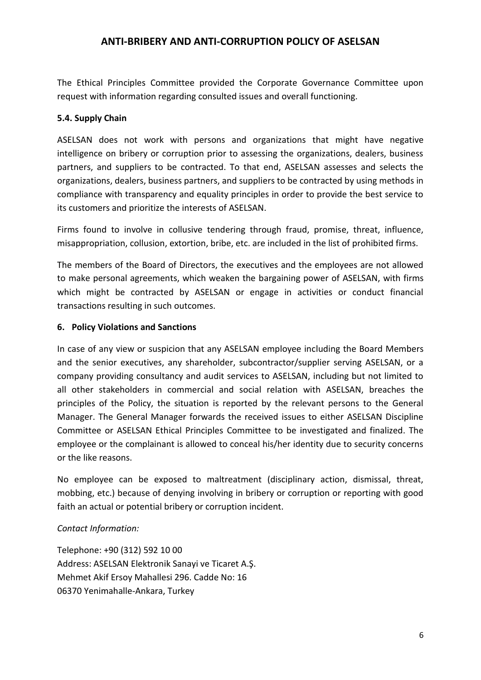The Ethical Principles Committee provided the Corporate Governance Committee upon request with information regarding consulted issues and overall functioning.

## **5.4. Supply Chain**

ASELSAN does not work with persons and organizations that might have negative intelligence on bribery or corruption prior to assessing the organizations, dealers, business partners, and suppliers to be contracted. To that end, ASELSAN assesses and selects the organizations, dealers, business partners, and suppliers to be contracted by using methods in compliance with transparency and equality principles in order to provide the best service to its customers and prioritize the interests of ASELSAN.

Firms found to involve in collusive tendering through fraud, promise, threat, influence, misappropriation, collusion, extortion, bribe, etc. are included in the list of prohibited firms.

The members of the Board of Directors, the executives and the employees are not allowed to make personal agreements, which weaken the bargaining power of ASELSAN, with firms which might be contracted by ASELSAN or engage in activities or conduct financial transactions resulting in such outcomes.

## **6. Policy Violations and Sanctions**

In case of any view or suspicion that any ASELSAN employee including the Board Members and the senior executives, any shareholder, subcontractor/supplier serving ASELSAN, or a company providing consultancy and audit services to ASELSAN, including but not limited to all other stakeholders in commercial and social relation with ASELSAN, breaches the principles of the Policy, the situation is reported by the relevant persons to the General Manager. The General Manager forwards the received issues to either ASELSAN Discipline Committee or ASELSAN Ethical Principles Committee to be investigated and finalized. The employee or the complainant is allowed to conceal his/her identity due to security concerns or the like reasons.

No employee can be exposed to maltreatment (disciplinary action, dismissal, threat, mobbing, etc.) because of denying involving in bribery or corruption or reporting with good faith an actual or potential bribery or corruption incident.

# *Contact Information:*

Telephone: +90 (312) 592 10 00 Address: ASELSAN Elektronik Sanayi ve Ticaret A.Ş. Mehmet Akif Ersoy Mahallesi 296. Cadde No: 16 06370 Yenimahalle-Ankara, Turkey